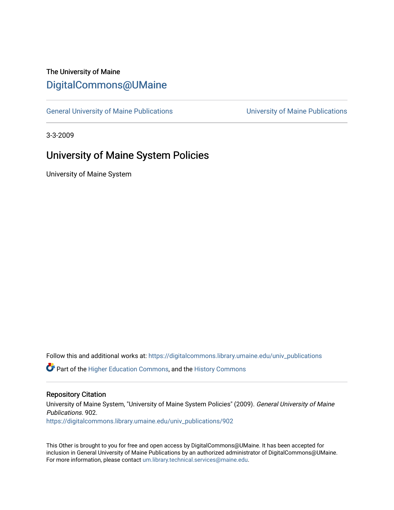# The University of Maine [DigitalCommons@UMaine](https://digitalcommons.library.umaine.edu/)

[General University of Maine Publications](https://digitalcommons.library.umaine.edu/univ_publications) [University of Maine Publications](https://digitalcommons.library.umaine.edu/umaine_publications) 

3-3-2009

# University of Maine System Policies

University of Maine System

Follow this and additional works at: [https://digitalcommons.library.umaine.edu/univ\\_publications](https://digitalcommons.library.umaine.edu/univ_publications?utm_source=digitalcommons.library.umaine.edu%2Funiv_publications%2F902&utm_medium=PDF&utm_campaign=PDFCoverPages) 

**C** Part of the [Higher Education Commons,](http://network.bepress.com/hgg/discipline/1245?utm_source=digitalcommons.library.umaine.edu%2Funiv_publications%2F902&utm_medium=PDF&utm_campaign=PDFCoverPages) and the [History Commons](http://network.bepress.com/hgg/discipline/489?utm_source=digitalcommons.library.umaine.edu%2Funiv_publications%2F902&utm_medium=PDF&utm_campaign=PDFCoverPages)

#### Repository Citation

University of Maine System, "University of Maine System Policies" (2009). General University of Maine Publications. 902. [https://digitalcommons.library.umaine.edu/univ\\_publications/902](https://digitalcommons.library.umaine.edu/univ_publications/902?utm_source=digitalcommons.library.umaine.edu%2Funiv_publications%2F902&utm_medium=PDF&utm_campaign=PDFCoverPages) 

This Other is brought to you for free and open access by DigitalCommons@UMaine. It has been accepted for inclusion in General University of Maine Publications by an authorized administrator of DigitalCommons@UMaine. For more information, please contact [um.library.technical.services@maine.edu](mailto:um.library.technical.services@maine.edu).